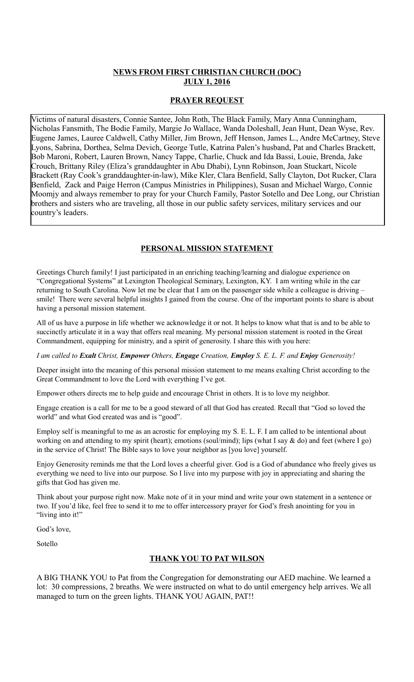### **NEWS FROM FIRST CHRISTIAN CHURCH (DOC) JULY 1, 2016**

#### **PRAYER REQUEST**

Victims of natural disasters, Connie Santee, John Roth, The Black Family, Mary Anna Cunningham, Nicholas Fansmith, The Bodie Family, Margie Jo Wallace, Wanda Doleshall, Jean Hunt, Dean Wyse, Rev. Eugene James, Lauree Caldwell, Cathy Miller, Jim Brown, Jeff Henson, James L., Andre McCartney, Steve Lyons, Sabrina, Dorthea, Selma Devich, George Tutle, Katrina Palen's husband, Pat and Charles Brackett, Bob Maroni, Robert, Lauren Brown, Nancy Tappe, Charlie, Chuck and Ida Bassi, Louie, Brenda, Jake Crouch, Brittany Riley (Eliza's granddaughter in Abu Dhabi), Lynn Robinson, Joan Stuckart, Nicole Brackett (Ray Cook's granddaughter-in-law), Mike Kler, Clara Benfield, Sally Clayton, Dot Rucker, Clara Benfield, Zack and Paige Herron (Campus Ministries in Philippines), Susan and Michael Wargo, Connie Moomjy and always remember to pray for your Church Family, Pastor Sotello and Dee Long, our Christian brothers and sisters who are traveling, all those in our public safety services, military services and our country's leaders.

# **PERSONAL MISSION STATEMENT**

Greetings Church family! I just participated in an enriching teaching/learning and dialogue experience on "Congregational Systems" at Lexington Theological Seminary, Lexington, KY. I am writing while in the car returning to South Carolina. Now let me be clear that I am on the passenger side while a colleague is driving – smile! There were several helpful insights I gained from the course. One of the important points to share is about having a personal mission statement.

All of us have a purpose in life whether we acknowledge it or not. It helps to know what that is and to be able to succinctly articulate it in a way that offers real meaning. My personal mission statement is rooted in the Great Commandment, equipping for ministry, and a spirit of generosity. I share this with you here:

*I am called to Exalt Christ, Empower Others, Engage Creation, Employ S. E. L. F. and Enjoy Generosity!*

Deeper insight into the meaning of this personal mission statement to me means exalting Christ according to the Great Commandment to love the Lord with everything I've got.

Empower others directs me to help guide and encourage Christ in others. It is to love my neighbor.

Engage creation is a call for me to be a good steward of all that God has created. Recall that "God so loved the world" and what God created was and is "good".

Employ self is meaningful to me as an acrostic for employing my S. E. L. F. I am called to be intentional about working on and attending to my spirit (heart); emotions (soul/mind); lips (what I say & do) and feet (where I go) in the service of Christ! The Bible says to love your neighbor as [you love] yourself.

Enjoy Generosity reminds me that the Lord loves a cheerful giver. God is a God of abundance who freely gives us everything we need to live into our purpose. So I live into my purpose with joy in appreciating and sharing the gifts that God has given me.

Think about your purpose right now. Make note of it in your mind and write your own statement in a sentence or two. If you'd like, feel free to send it to me to offer intercessory prayer for God's fresh anointing for you in "living into it!"

God's love,

Sotello

## **THANK YOU TO PAT WILSON**

A BIG THANK YOU to Pat from the Congregation for demonstrating our AED machine. We learned a lot: 30 compressions, 2 breaths. We were instructed on what to do until emergency help arrives. We all managed to turn on the green lights. THANK YOU AGAIN, PAT!!